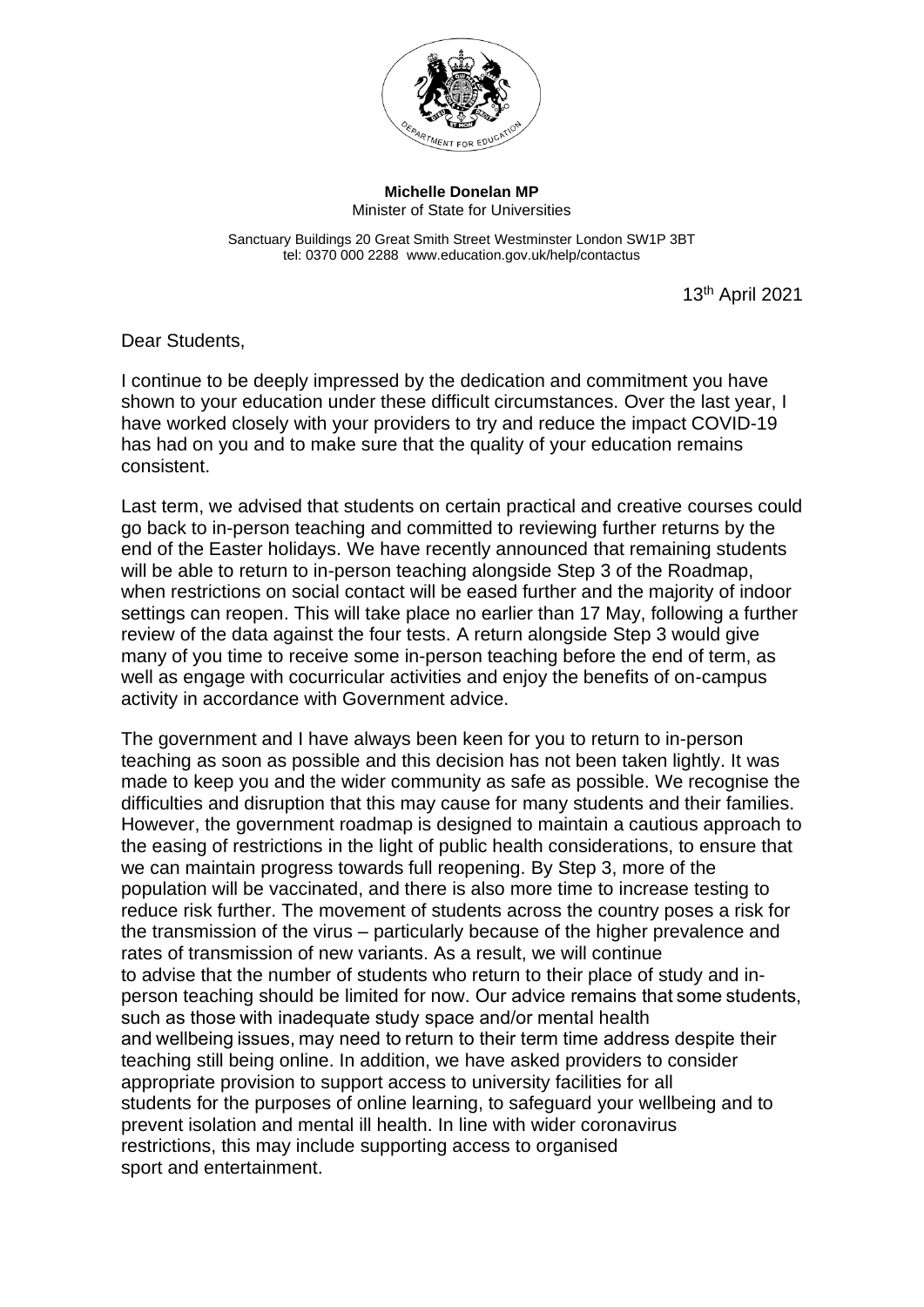

**Michelle Donelan MP** Minister of State for Universities

Sanctuary Buildings 20 Great Smith Street Westminster London SW1P 3BT tel: 0370 000 2288 www.education.gov.uk/help/contactus

13th April 2021

Dear Students,

I continue to be deeply impressed by the dedication and commitment you have shown to your education under these difficult circumstances. Over the last year, I have worked closely with your providers to try and reduce the impact COVID-19 has had on you and to make sure that the quality of your education remains consistent.

Last term, we advised that students on certain practical and creative courses could go back to in-person teaching and committed to reviewing further returns by the end of the Easter holidays. We have recently announced that remaining students will be able to return to in-person teaching alongside Step 3 of the Roadmap, when restrictions on social contact will be eased further and the majority of indoor settings can reopen. This will take place no earlier than 17 May, following a further review of the data against the four tests. A return alongside Step 3 would give many of you time to receive some in-person teaching before the end of term, as well as engage with cocurricular activities and enjoy the benefits of on-campus activity in accordance with Government advice.

The government and I have always been keen for you to return to in-person teaching as soon as possible and this decision has not been taken lightly. It was made to keep you and the wider community as safe as possible. We recognise the difficulties and disruption that this may cause for many students and their families. However, the government roadmap is designed to maintain a cautious approach to the easing of restrictions in the light of public health considerations, to ensure that we can maintain progress towards full reopening. By Step 3, more of the population will be vaccinated, and there is also more time to increase testing to reduce risk further. The movement of students across the country poses a risk for the transmission of the virus – particularly because of the higher prevalence and rates of transmission of new variants. As a result, we will continue to advise that the number of students who return to their place of study and inperson teaching should be limited for now. Our advice remains that some students, such as those with inadequate study space and/or mental health and wellbeing issues, may need to return to their term time address despite their teaching still being online. In addition, we have asked providers to consider appropriate provision to support access to university facilities for all students for the purposes of online learning, to safeguard your wellbeing and to prevent isolation and mental ill health. In line with wider coronavirus restrictions, this may include supporting access to organised sport and entertainment.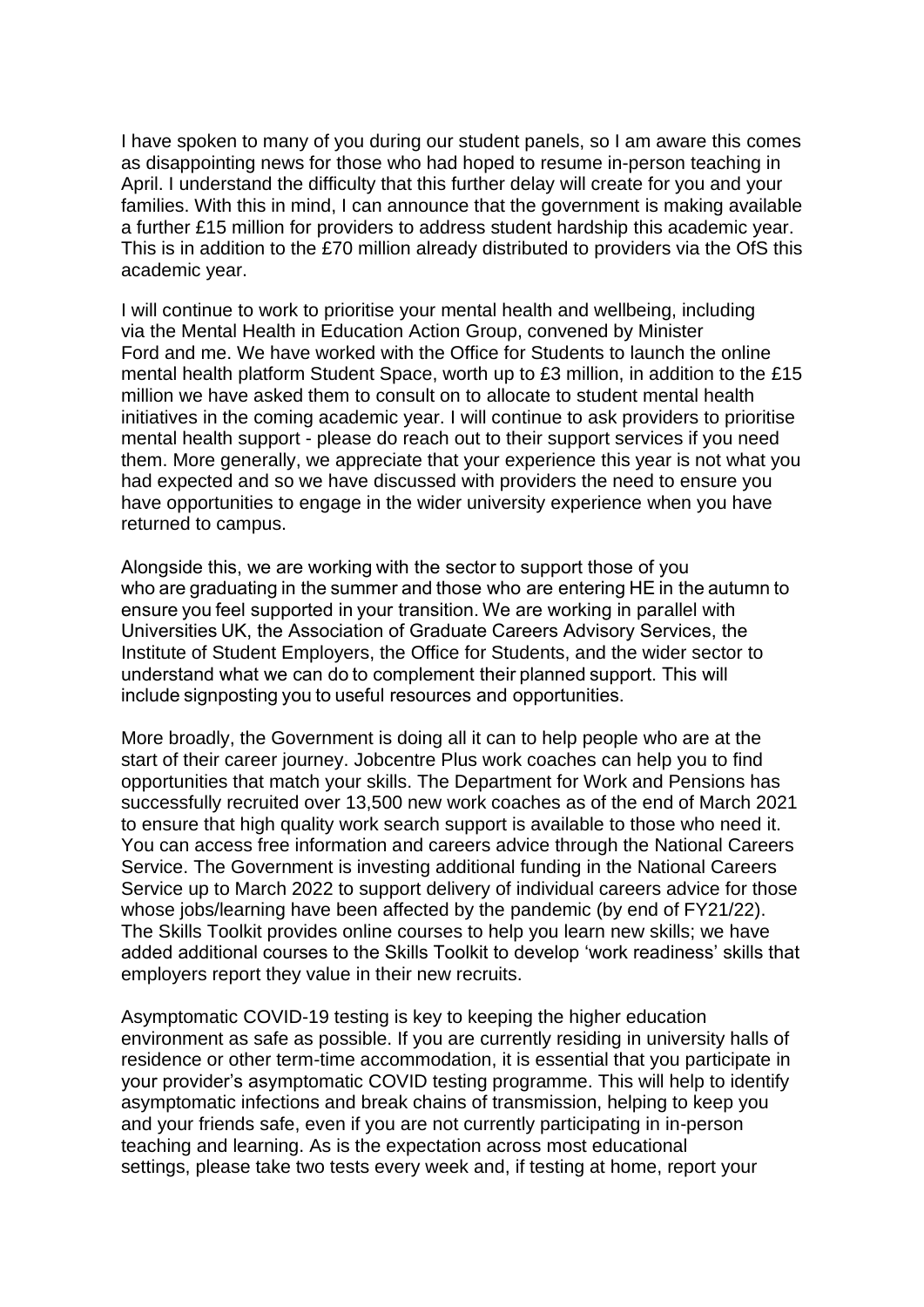I have spoken to many of you during our student panels, so I am aware this comes as disappointing news for those who had hoped to resume in-person teaching in April. I understand the difficulty that this further delay will create for you and your families. With this in mind, I can announce that the government is making available a further £15 million for providers to address student hardship this academic year. This is in addition to the £70 million already distributed to providers via the OfS this academic year.

I will continue to work to prioritise your mental health and wellbeing, including via the Mental Health in Education Action Group, convened by Minister Ford and me. We have worked with the Office for Students to launch the online mental health platform Student Space, worth up to £3 million, in addition to the £15 million we have asked them to consult on to allocate to student mental health initiatives in the coming academic year. I will continue to ask providers to prioritise mental health support - please do reach out to their support services if you need them. More generally, we appreciate that your experience this year is not what you had expected and so we have discussed with providers the need to ensure you have opportunities to engage in the wider university experience when you have returned to campus.

Alongside this, we are working with the sector to support those of you who are graduating in the summer and those who are entering HE in the autumn to ensure you feel supported in your transition. We are working in parallel with Universities UK, the Association of Graduate Careers Advisory Services, the Institute of Student Employers, the Office for Students, and the wider sector to understand what we can do to complement their planned support. This will include signposting you to useful resources and opportunities.

More broadly, the Government is doing all it can to help people who are at the start of their career journey. Jobcentre Plus work coaches can help you to find opportunities that match your skills. The Department for Work and Pensions has successfully recruited over 13,500 new work coaches as of the end of March 2021 to ensure that high quality work search support is available to those who need it. You can access free information and careers advice through the National Careers Service. The Government is investing additional funding in the National Careers Service up to March 2022 to support delivery of individual careers advice for those whose jobs/learning have been affected by the pandemic (by end of FY21/22). The Skills Toolkit provides online courses to help you learn new skills; we have added additional courses to the Skills Toolkit to develop 'work readiness' skills that employers report they value in their new recruits.

Asymptomatic COVID-19 testing is key to keeping the higher education environment as safe as possible. If you are currently residing in university halls of residence or other term-time accommodation, it is essential that you participate in your provider's asymptomatic COVID testing programme. This will help to identify asymptomatic infections and break chains of transmission, helping to keep you and your friends safe, even if you are not currently participating in in-person teaching and learning. As is the expectation across most educational settings, please take two tests every week and, if testing at home, report your